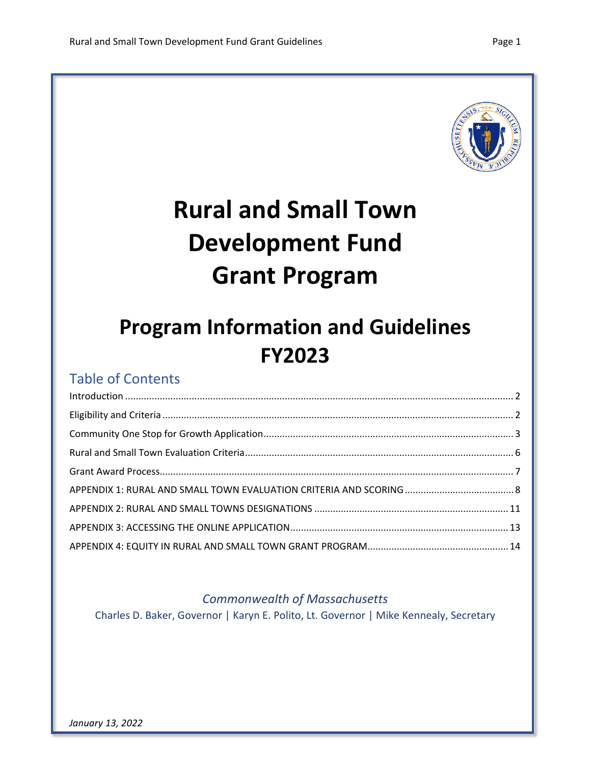

# **Rural and Small Town Development Fund Grant Program**

## **Program Information and Guidelines FY2023**

### Table of Contents

#### *Commonwealth of Massachusetts*

Charles D. Baker, Governor | Karyn E. Polito, Lt. Governor | Mike Kennealy, Secretary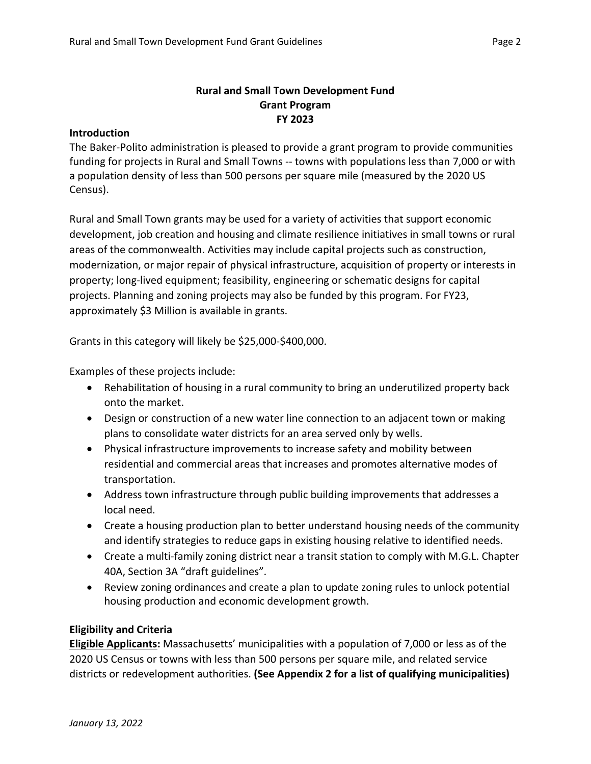#### **Rural and Small Town Development Fund Grant Program FY 2023**

#### <span id="page-1-0"></span>**Introduction**

The Baker-Polito administration is pleased to provide a grant program to provide communities funding for projects in Rural and Small Towns -- towns with populations less than 7,000 or with a population density of less than 500 persons per square mile (measured by the 2020 US Census).

Rural and Small Town grants may be used for a variety of activities that support economic development, job creation and housing and climate resilience initiatives in small towns or rural areas of the commonwealth. Activities may include capital projects such as construction, modernization, or major repair of physical infrastructure, acquisition of property or interests in property; long-lived equipment; feasibility, engineering or schematic designs for capital projects. Planning and zoning projects may also be funded by this program. For FY23, approximately \$3 Million is available in grants.

Grants in this category will likely be \$25,000-\$400,000.

Examples of these projects include:

- Rehabilitation of housing in a rural community to bring an underutilized property back onto the market.
- Design or construction of a new water line connection to an adjacent town or making plans to consolidate water districts for an area served only by wells.
- Physical infrastructure improvements to increase safety and mobility between residential and commercial areas that increases and promotes alternative modes of transportation.
- Address town infrastructure through public building improvements that addresses a local need.
- Create a housing production plan to better understand housing needs of the community and identify strategies to reduce gaps in existing housing relative to identified needs.
- Create a multi-family zoning district near a transit station to comply with M.G.L. Chapter 40A, Section 3A "draft guidelines".
- Review zoning ordinances and create a plan to update zoning rules to unlock potential housing production and economic development growth.

#### <span id="page-1-1"></span>**Eligibility and Criteria**

**Eligible Applicants:** Massachusetts' municipalities with a population of 7,000 or less as of the 2020 US Census or towns with less than 500 persons per square mile, and related service districts or redevelopment authorities. **(See Appendix 2 for a list of qualifying municipalities)**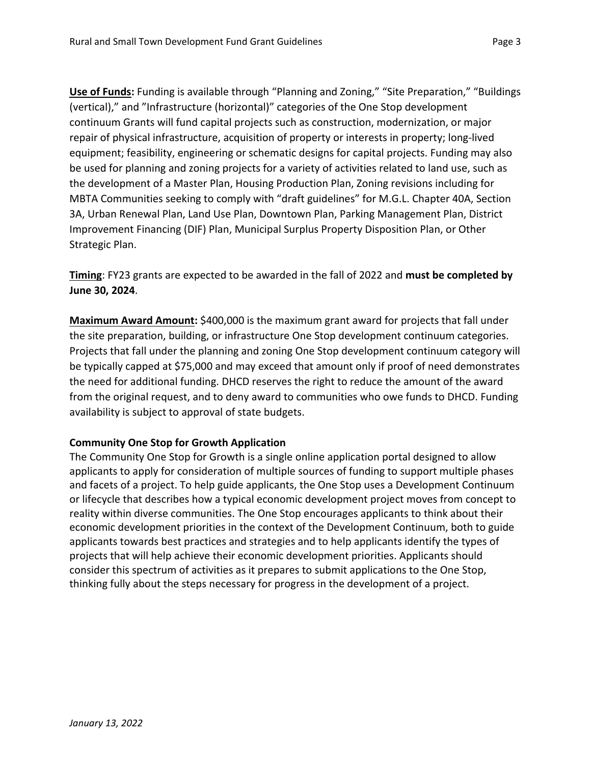**Use of Funds:** Funding is available through "Planning and Zoning," "Site Preparation," "Buildings (vertical)," and "Infrastructure (horizontal)" categories of the One Stop development continuum Grants will fund capital projects such as construction, modernization, or major repair of physical infrastructure, acquisition of property or interests in property; long-lived equipment; feasibility, engineering or schematic designs for capital projects. Funding may also be used for planning and zoning projects for a variety of activities related to land use, such as the development of a Master Plan, Housing Production Plan, Zoning revisions including for MBTA Communities seeking to comply with "draft guidelines" for M.G.L. Chapter 40A, Section 3A, Urban Renewal Plan, Land Use Plan, Downtown Plan, Parking Management Plan, District Improvement Financing (DIF) Plan, Municipal Surplus Property Disposition Plan, or Other Strategic Plan.

**Timing**: FY23 grants are expected to be awarded in the fall of 2022 and **must be completed by June 30, 2024**.

**Maximum Award Amount:** \$400,000 is the maximum grant award for projects that fall under the site preparation, building, or infrastructure One Stop development continuum categories. Projects that fall under the planning and zoning One Stop development continuum category will be typically capped at \$75,000 and may exceed that amount only if proof of need demonstrates the need for additional funding. DHCD reserves the right to reduce the amount of the award from the original request, and to deny award to communities who owe funds to DHCD. Funding availability is subject to approval of state budgets.

#### <span id="page-2-0"></span>**Community One Stop for Growth Application**

The Community One Stop for Growth is a single online application portal designed to allow applicants to apply for consideration of multiple sources of funding to support multiple phases and facets of a project. To help guide applicants, the One Stop uses a Development Continuum or lifecycle that describes how a typical economic development project moves from concept to reality within diverse communities. The One Stop encourages applicants to think about their economic development priorities in the context of the Development Continuum, both to guide applicants towards best practices and strategies and to help applicants identify the types of projects that will help achieve their economic development priorities. Applicants should consider this spectrum of activities as it prepares to submit applications to the One Stop, thinking fully about the steps necessary for progress in the development of a project.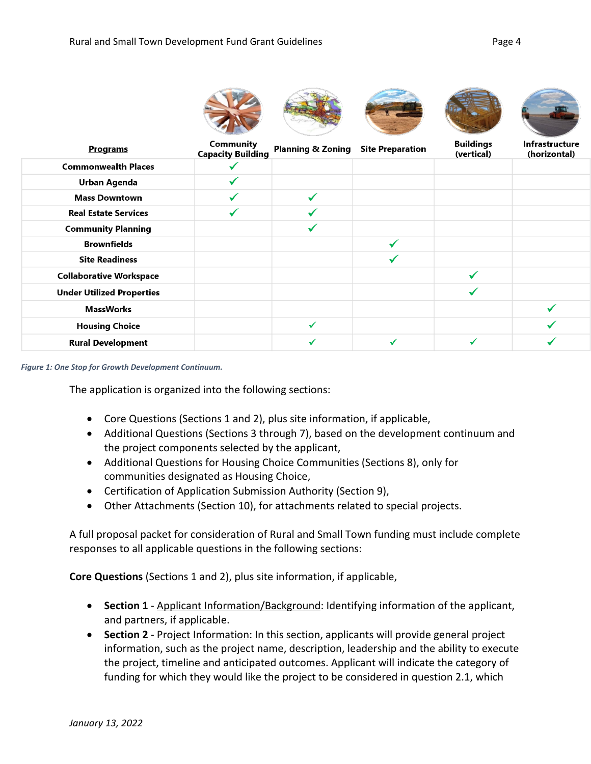

| <b>Programs</b>                  | Community<br><b>Capacity Building</b> | <b>Planning &amp; Zoning</b> | <b>Site Preparation</b> | <b>Buildings</b><br>(vertical) | Infrastructure<br>(horizontal) |
|----------------------------------|---------------------------------------|------------------------------|-------------------------|--------------------------------|--------------------------------|
| <b>Commonwealth Places</b>       |                                       |                              |                         |                                |                                |
| <b>Urban Agenda</b>              |                                       |                              |                         |                                |                                |
| <b>Mass Downtown</b>             |                                       | ✓                            |                         |                                |                                |
| <b>Real Estate Services</b>      |                                       |                              |                         |                                |                                |
| <b>Community Planning</b>        |                                       |                              |                         |                                |                                |
| <b>Brownfields</b>               |                                       |                              |                         |                                |                                |
| <b>Site Readiness</b>            |                                       |                              |                         |                                |                                |
| <b>Collaborative Workspace</b>   |                                       |                              |                         |                                |                                |
| <b>Under Utilized Properties</b> |                                       |                              |                         |                                |                                |
| <b>MassWorks</b>                 |                                       |                              |                         |                                |                                |
| <b>Housing Choice</b>            |                                       | $\checkmark$                 |                         |                                |                                |
| <b>Rural Development</b>         |                                       |                              |                         |                                |                                |

*Figure 1: One Stop for Growth Development Continuum.*

The application is organized into the following sections:

- Core Questions (Sections 1 and 2), plus site information, if applicable,
- Additional Questions (Sections 3 through 7), based on the development continuum and the project components selected by the applicant,
- Additional Questions for Housing Choice Communities (Sections 8), only for communities designated as Housing Choice,
- Certification of Application Submission Authority (Section 9),
- Other Attachments (Section 10), for attachments related to special projects.

A full proposal packet for consideration of Rural and Small Town funding must include complete responses to all applicable questions in the following sections:

**Core Questions** (Sections 1 and 2), plus site information, if applicable,

- **Section 1** Applicant Information/Background: Identifying information of the applicant, and partners, if applicable.
- **Section 2** Project Information: In this section, applicants will provide general project information, such as the project name, description, leadership and the ability to execute the project, timeline and anticipated outcomes. Applicant will indicate the category of funding for which they would like the project to be considered in question 2.1, which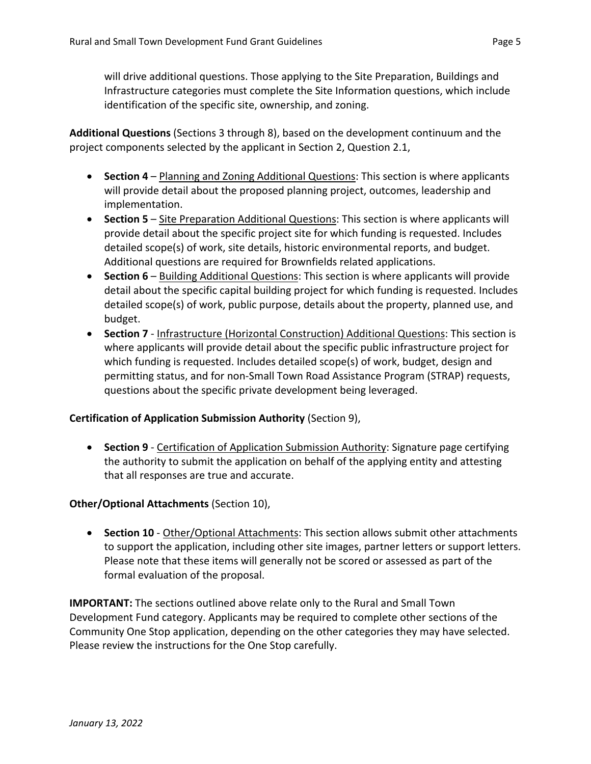will drive additional questions. Those applying to the Site Preparation, Buildings and Infrastructure categories must complete the Site Information questions, which include identification of the specific site, ownership, and zoning.

**Additional Questions** (Sections 3 through 8), based on the development continuum and the project components selected by the applicant in Section 2, Question 2.1,

- **Section 4** Planning and Zoning Additional Questions: This section is where applicants will provide detail about the proposed planning project, outcomes, leadership and implementation.
- **Section 5** Site Preparation Additional Questions: This section is where applicants will provide detail about the specific project site for which funding is requested. Includes detailed scope(s) of work, site details, historic environmental reports, and budget. Additional questions are required for Brownfields related applications.
- **Section 6** Building Additional Questions: This section is where applicants will provide detail about the specific capital building project for which funding is requested. Includes detailed scope(s) of work, public purpose, details about the property, planned use, and budget.
- **Section 7** Infrastructure (Horizontal Construction) Additional Questions: This section is where applicants will provide detail about the specific public infrastructure project for which funding is requested. Includes detailed scope(s) of work, budget, design and permitting status, and for non-Small Town Road Assistance Program (STRAP) requests, questions about the specific private development being leveraged.

#### **Certification of Application Submission Authority** (Section 9),

• **Section 9** - Certification of Application Submission Authority: Signature page certifying the authority to submit the application on behalf of the applying entity and attesting that all responses are true and accurate.

#### **Other/Optional Attachments** (Section 10),

• **Section 10** - Other/Optional Attachments: This section allows submit other attachments to support the application, including other site images, partner letters or support letters. Please note that these items will generally not be scored or assessed as part of the formal evaluation of the proposal.

**IMPORTANT:** The sections outlined above relate only to the Rural and Small Town Development Fund category. Applicants may be required to complete other sections of the Community One Stop application, depending on the other categories they may have selected. Please review the instructions for the One Stop carefully.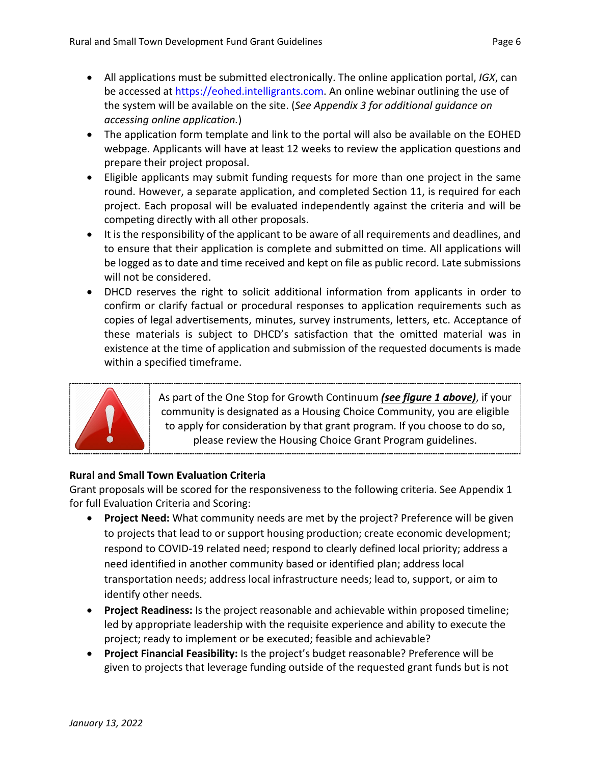- All applications must be submitted electronically. The online application portal, *IGX*, can be accessed at [https://eohed.intelligrants.com.](https://eohed.intelligrants.com/) An online webinar outlining the use of the system will be available on the site. (*See Appendix 3 for additional guidance on accessing online application.*)
- The application form template and link to the portal will also be available on the EOHED webpage. Applicants will have at least 12 weeks to review the application questions and prepare their project proposal.
- Eligible applicants may submit funding requests for more than one project in the same round. However, a separate application, and completed Section 11, is required for each project. Each proposal will be evaluated independently against the criteria and will be competing directly with all other proposals.
- It is the responsibility of the applicant to be aware of all requirements and deadlines, and to ensure that their application is complete and submitted on time. All applications will be logged as to date and time received and kept on file as public record. Late submissions will not be considered.
- DHCD reserves the right to solicit additional information from applicants in order to confirm or clarify factual or procedural responses to application requirements such as copies of legal advertisements, minutes, survey instruments, letters, etc. Acceptance of these materials is subject to DHCD's satisfaction that the omitted material was in existence at the time of application and submission of the requested documents is made within a specified timeframe.



As part of the One Stop for Growth Continuum *(see figure 1 above)*, if your community is designated as a Housing Choice Community, you are eligible to apply for consideration by that grant program. If you choose to do so, please review the Housing Choice Grant Program guidelines.

#### <span id="page-5-0"></span>**Rural and Small Town Evaluation Criteria**

Grant proposals will be scored for the responsiveness to the following criteria. See Appendix 1 for full Evaluation Criteria and Scoring:

- **Project Need:** What community needs are met by the project? Preference will be given to projects that lead to or support housing production; create economic development; respond to COVID-19 related need; respond to clearly defined local priority; address a need identified in another community based or identified plan; address local transportation needs; address local infrastructure needs; lead to, support, or aim to identify other needs.
- **Project Readiness:** Is the project reasonable and achievable within proposed timeline; led by appropriate leadership with the requisite experience and ability to execute the project; ready to implement or be executed; feasible and achievable?
- **Project Financial Feasibility:** Is the project's budget reasonable? Preference will be given to projects that leverage funding outside of the requested grant funds but is not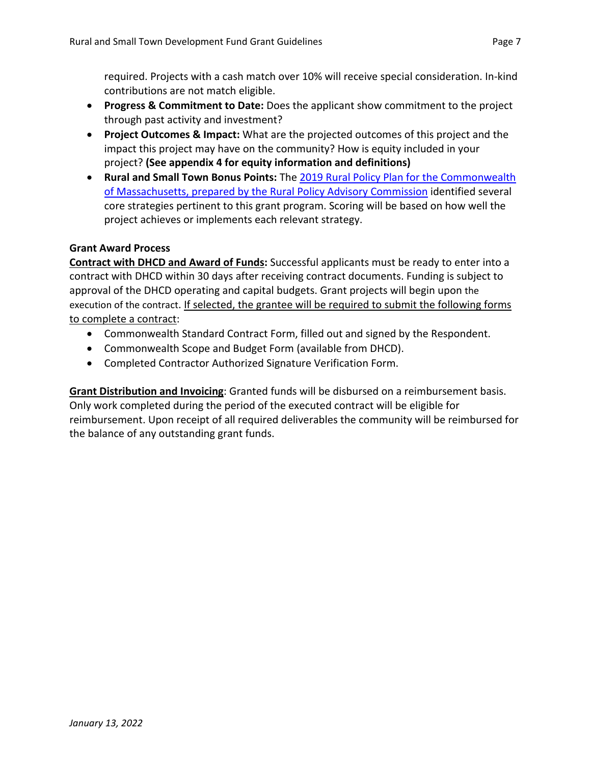required. Projects with a cash match over 10% will receive special consideration. In-kind contributions are not match eligible.

- **Progress & Commitment to Date:** Does the applicant show commitment to the project through past activity and investment?
- **Project Outcomes & Impact:** What are the projected outcomes of this project and the impact this project may have on the community? How is equity included in your project? **(See appendix 4 for equity information and definitions)**
- **Rural and Small Town Bonus Points:** The [2019 Rural Policy Plan for the Commonwealth](https://frcog.org/wp-content/uploads/2019/10/RPP-Final-Draft-10.10.19.pdf)  [of Massachusetts, prepared by the Rural Policy Advisory Commission](https://frcog.org/wp-content/uploads/2019/10/RPP-Final-Draft-10.10.19.pdf) identified several core strategies pertinent to this grant program. Scoring will be based on how well the project achieves or implements each relevant strategy.

#### <span id="page-6-0"></span>**Grant Award Process**

**Contract with DHCD and Award of Funds:** Successful applicants must be ready to enter into a contract with DHCD within 30 days after receiving contract documents. Funding is subject to approval of the DHCD operating and capital budgets. Grant projects will begin upon the execution of the contract. If selected, the grantee will be required to submit the following forms to complete a contract:

- Commonwealth Standard Contract Form, filled out and signed by the Respondent.
- Commonwealth Scope and Budget Form (available from DHCD).
- Completed Contractor Authorized Signature Verification Form.

**Grant Distribution and Invoicing**: Granted funds will be disbursed on a reimbursement basis. Only work completed during the period of the executed contract will be eligible for reimbursement. Upon receipt of all required deliverables the community will be reimbursed for the balance of any outstanding grant funds.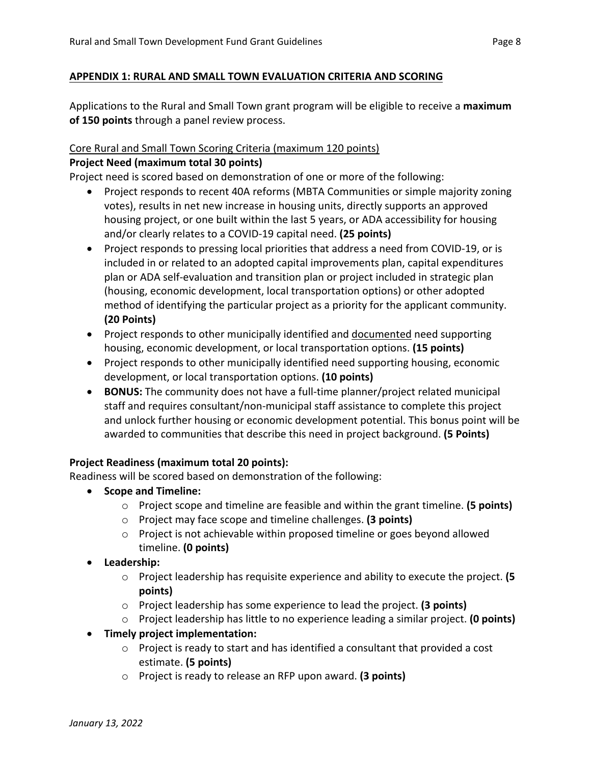#### <span id="page-7-0"></span>**APPENDIX 1: RURAL AND SMALL TOWN EVALUATION CRITERIA AND SCORING**

Applications to the Rural and Small Town grant program will be eligible to receive a **maximum of 150 points** through a panel review process.

#### Core Rural and Small Town Scoring Criteria (maximum 120 points)

#### **Project Need (maximum total 30 points)**

Project need is scored based on demonstration of one or more of the following:

- Project responds to recent 40A reforms (MBTA Communities or simple majority zoning votes), results in net new increase in housing units, directly supports an approved housing project, or one built within the last 5 years, or ADA accessibility for housing and/or clearly relates to a COVID-19 capital need. **(25 points)**
- Project responds to pressing local priorities that address a need from COVID-19, or is included in or related to an adopted capital improvements plan, capital expenditures plan or ADA self-evaluation and transition plan or project included in strategic plan (housing, economic development, local transportation options) or other adopted method of identifying the particular project as a priority for the applicant community. **(20 Points)**
- Project responds to other municipally identified and documented need supporting housing, economic development, or local transportation options. **(15 points)**
- Project responds to other municipally identified need supporting housing, economic development, or local transportation options. **(10 points)**
- **BONUS:** The community does not have a full-time planner/project related municipal staff and requires consultant/non-municipal staff assistance to complete this project and unlock further housing or economic development potential. This bonus point will be awarded to communities that describe this need in project background. **(5 Points)**

#### **Project Readiness (maximum total 20 points):**

Readiness will be scored based on demonstration of the following:

- **Scope and Timeline:**
	- o Project scope and timeline are feasible and within the grant timeline. **(5 points)**
	- o Project may face scope and timeline challenges. **(3 points)**
	- o Project is not achievable within proposed timeline or goes beyond allowed timeline. **(0 points)**
- **Leadership:**
	- o Project leadership has requisite experience and ability to execute the project. **(5 points)**
	- o Project leadership has some experience to lead the project. **(3 points)**
	- o Project leadership has little to no experience leading a similar project. **(0 points)**
- **Timely project implementation:**
	- $\circ$  Project is ready to start and has identified a consultant that provided a cost estimate. **(5 points)**
	- o Project is ready to release an RFP upon award. **(3 points)**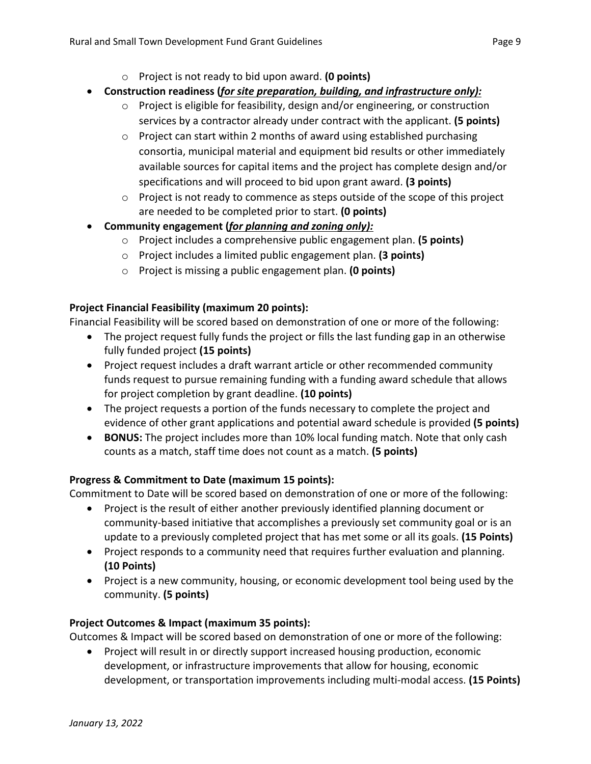- o Project is not ready to bid upon award. **(0 points)**
- **Construction readiness (***for site preparation, building, and infrastructure only):*
	- o Project is eligible for feasibility, design and/or engineering, or construction services by a contractor already under contract with the applicant. **(5 points)**
	- o Project can start within 2 months of award using established purchasing consortia, municipal material and equipment bid results or other immediately available sources for capital items and the project has complete design and/or specifications and will proceed to bid upon grant award. **(3 points)**
	- $\circ$  Project is not ready to commence as steps outside of the scope of this project are needed to be completed prior to start. **(0 points)**
- **Community engagement (***for planning and zoning only):*
	- o Project includes a comprehensive public engagement plan. **(5 points)**
	- o Project includes a limited public engagement plan. **(3 points)**
	- o Project is missing a public engagement plan. **(0 points)**

#### **Project Financial Feasibility (maximum 20 points):**

Financial Feasibility will be scored based on demonstration of one or more of the following:

- The project request fully funds the project or fills the last funding gap in an otherwise fully funded project **(15 points)**
- Project request includes a draft warrant article or other recommended community funds request to pursue remaining funding with a funding award schedule that allows for project completion by grant deadline. **(10 points)**
- The project requests a portion of the funds necessary to complete the project and evidence of other grant applications and potential award schedule is provided **(5 points)**
- **BONUS:** The project includes more than 10% local funding match. Note that only cash counts as a match, staff time does not count as a match. **(5 points)**

#### **Progress & Commitment to Date (maximum 15 points):**

Commitment to Date will be scored based on demonstration of one or more of the following:

- Project is the result of either another previously identified planning document or community-based initiative that accomplishes a previously set community goal or is an update to a previously completed project that has met some or all its goals. **(15 Points)**
- Project responds to a community need that requires further evaluation and planning. **(10 Points)**
- Project is a new community, housing, or economic development tool being used by the community. **(5 points)**

#### **Project Outcomes & Impact (maximum 35 points):**

Outcomes & Impact will be scored based on demonstration of one or more of the following:

• Project will result in or directly support increased housing production, economic development, or infrastructure improvements that allow for housing, economic development, or transportation improvements including multi-modal access. **(15 Points)**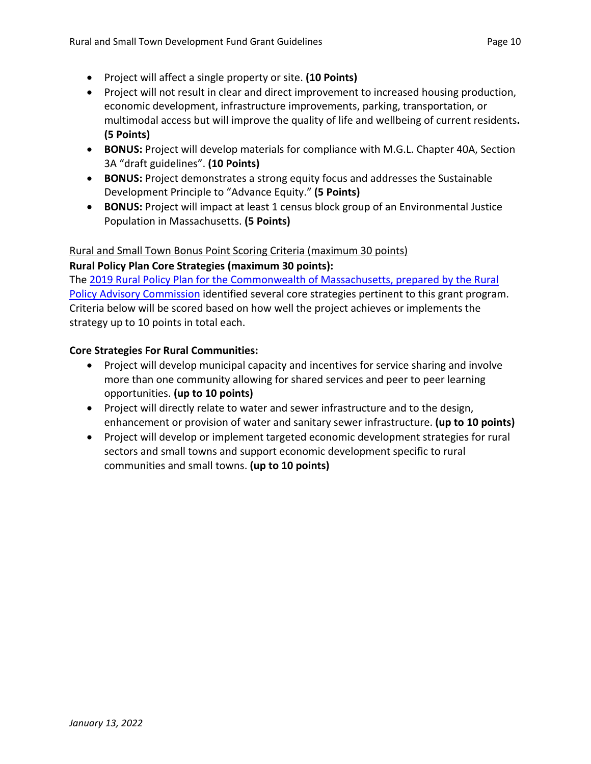- Project will affect a single property or site. **(10 Points)**
- Project will not result in clear and direct improvement to increased housing production, economic development, infrastructure improvements, parking, transportation, or multimodal access but will improve the quality of life and wellbeing of current residents**. (5 Points)**
- **BONUS:** Project will develop materials for compliance with M.G.L. Chapter 40A, Section 3A "draft guidelines". **(10 Points)**
- **BONUS:** Project demonstrates a strong equity focus and addresses the Sustainable Development Principle to "Advance Equity." **(5 Points)**
- **BONUS:** Project will impact at least 1 census block group of an Environmental Justice Population in Massachusetts. **(5 Points)**

#### Rural and Small Town Bonus Point Scoring Criteria (maximum 30 points)

#### **Rural Policy Plan Core Strategies (maximum 30 points):**

The [2019 Rural Policy Plan for the Commonwealth of Massachusetts, prepared by the Rural](https://frcog.org/wp-content/uploads/2019/10/RPP-Final-Draft-10.10.19.pdf)  [Policy Advisory Commission](https://frcog.org/wp-content/uploads/2019/10/RPP-Final-Draft-10.10.19.pdf) identified several core strategies pertinent to this grant program. Criteria below will be scored based on how well the project achieves or implements the strategy up to 10 points in total each.

#### **Core Strategies For Rural Communities:**

- Project will develop municipal capacity and incentives for service sharing and involve more than one community allowing for shared services and peer to peer learning opportunities. **(up to 10 points)**
- Project will directly relate to water and sewer infrastructure and to the design, enhancement or provision of water and sanitary sewer infrastructure. **(up to 10 points)**
- Project will develop or implement targeted economic development strategies for rural sectors and small towns and support economic development specific to rural communities and small towns. **(up to 10 points)**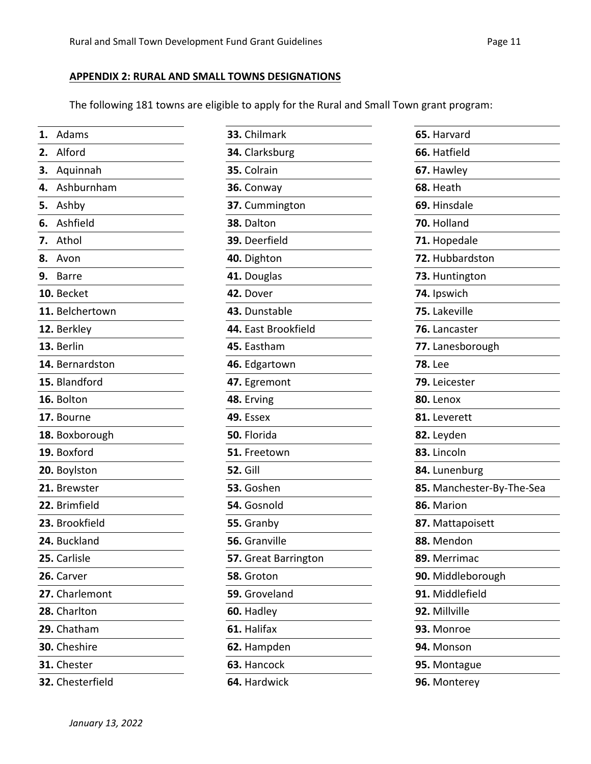$\sim$  10  $\pm$ 

 $\overline{\phantom{a}}$ 

 $\overline{\phantom{a}}$ 

÷,

#### <span id="page-10-0"></span>**APPENDIX 2: RURAL AND SMALL TOWNS DESIGNATIONS**

The following 181 towns are eligible to apply for the Rural and Small Town grant program:

| 1. Adams         | 33. Chilmark                   | 65. Harvard               |  |
|------------------|--------------------------------|---------------------------|--|
| 2. Alford        | 66. Hatfield<br>34. Clarksburg |                           |  |
| Aquinnah<br>3.   | 35. Colrain<br>67. Hawley      |                           |  |
| Ashburnham<br>4. | 36. Conway<br>68. Heath        |                           |  |
| Ashby<br>5.      | 37. Cummington                 | 69. Hinsdale              |  |
| Ashfield<br>6.   | 38. Dalton                     | 70. Holland               |  |
| 7. Athol         | 39. Deerfield<br>71. Hopedale  |                           |  |
| 8. Avon          | 40. Dighton                    | 72. Hubbardston           |  |
| 9. Barre         | 41. Douglas                    | 73. Huntington            |  |
| 10. Becket       | 42. Dover                      | 74. Ipswich               |  |
| 11. Belchertown  | 43. Dunstable                  | 75. Lakeville             |  |
| 12. Berkley      | 44. East Brookfield            | 76. Lancaster             |  |
| 13. Berlin       | 45. Eastham                    | 77. Lanesborough          |  |
| 14. Bernardston  | 46. Edgartown                  | <b>78. Lee</b>            |  |
| 15. Blandford    | 47. Egremont                   | 79. Leicester             |  |
| 16. Bolton       | 48. Erving                     | 80. Lenox                 |  |
| 17. Bourne       | 49. Essex<br>81. Leverett      |                           |  |
| 18. Boxborough   | 50. Florida                    | 82. Leyden                |  |
| 19. Boxford      | 51. Freetown                   | 83. Lincoln               |  |
| 20. Boylston     | <b>52. Gill</b>                | 84. Lunenburg             |  |
| 21. Brewster     | 53. Goshen                     | 85. Manchester-By-The-Sea |  |
| 22. Brimfield    | 54. Gosnold                    | 86. Marion                |  |
| 23. Brookfield   | 55. Granby                     | 87. Mattapoisett          |  |
| 24. Buckland     | 56. Granville<br>88. Mendon    |                           |  |
| 25. Carlisle     | 57. Great Barrington           | 89. Merrimac              |  |
| 26. Carver       | 58. Groton                     | 90. Middleborough         |  |
| 27. Charlemont   | 59. Groveland                  | 91. Middlefield           |  |
| 28. Charlton     | 60. Hadley<br>92. Millville    |                           |  |
| 29. Chatham      | 61. Halifax<br>93. Monroe      |                           |  |
| 30. Cheshire     | 62. Hampden                    | 94. Monson                |  |
| 31. Chester      | 63. Hancock                    | 95. Montague              |  |
| 32. Chesterfield | 64. Hardwick                   | 96. Monterey              |  |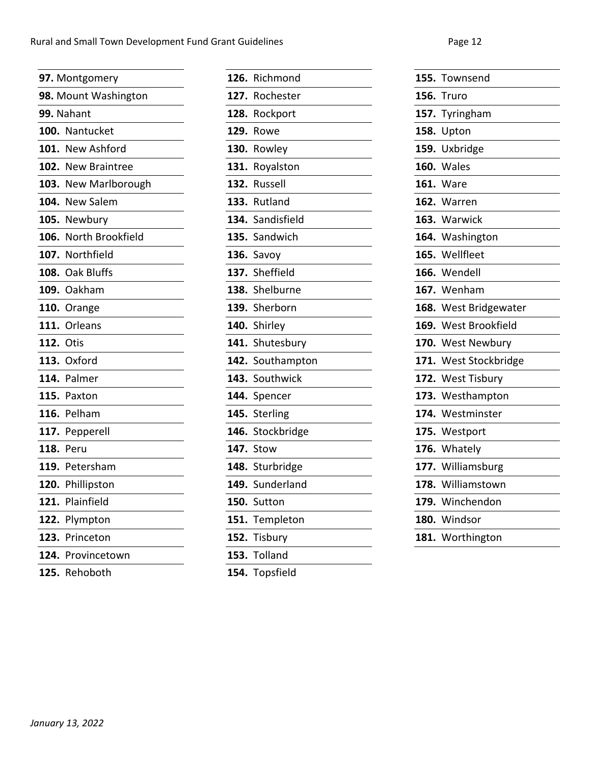|      | 97. Montgomery       |
|------|----------------------|
|      | 98. Mount Washington |
|      | 99. Nahant           |
| 100. | Nantucket            |
| 101. | <b>New Ashford</b>   |
|      | 102. New Braintree   |
|      | 103. New Marlborough |
| 104. | <b>New Salem</b>     |
|      | 105. Newbury         |
| 106. | North Brookfield     |
|      | 107. Northfield      |
| 108. | Oak Bluffs           |
|      | 109. Oakham          |
|      | 110. Orange          |
| 111. | Orleans              |
| 112. | Otis                 |
|      | 113. Oxford          |
|      | 114. Palmer          |
|      | 115. Paxton          |
|      | 116. Pelham          |
| 117. | Pepperell            |
| 118. | Peru                 |
|      | 119. Petersham       |
| 120. | Phillipston          |
| 121. | Plainfield           |
| 122. | Plympton             |
| 123. | Princeton            |
| 124. | Provincetown         |
| 125. | Rehoboth             |
|      |                      |

| Richmond                |
|-------------------------|
| 127.<br>Rochester       |
| Rockport                |
| Rowe                    |
| Rowley                  |
| Royalston               |
| Russell                 |
| Rutland                 |
| Sandisfield<br>134.     |
| 135. Sandwich           |
| Savoy                   |
| 137. Sheffield          |
| 138. Shelburne          |
| 139. Sherborn           |
| Shirley                 |
| Shutesbury              |
| Southampton             |
| Southwick               |
| Spencer                 |
| 145.<br><b>Sterling</b> |
| Stockbridge             |
| 147.<br>Stow            |
| Sturbridge<br>148.      |
| Sunderland              |
| Sutton                  |
| Templeton               |
| Tisbury                 |
| Tolland                 |
| Topsfield               |
|                         |

| 155. | Townsend            |
|------|---------------------|
| 156. | Truro               |
| 157. | Tyringham           |
| 158. | Upton               |
| 159. | Uxbridge            |
| 160. | Wales               |
|      | <b>161.</b> Ware    |
|      | 162. Warren         |
|      | 163. Warwick        |
|      | 164. Washington     |
|      | 165. Wellfleet      |
| 166. | Wendell             |
| 167. | Wenham              |
| 168. | West Bridgewater    |
| 169. | West Brookfield     |
| 170. | <b>West Newbury</b> |
| 171. | West Stockbridge    |
|      | 172. West Tisbury   |
| 173. | Westhampton         |
| 174. | Westminster         |
| 175. | Westport            |
|      | 176. Whately        |
| 177. | Williamsburg        |
| 178. | Williamstown        |
| 179. | Winchendon          |
|      | 180. Windsor        |
| 181. | Worthington         |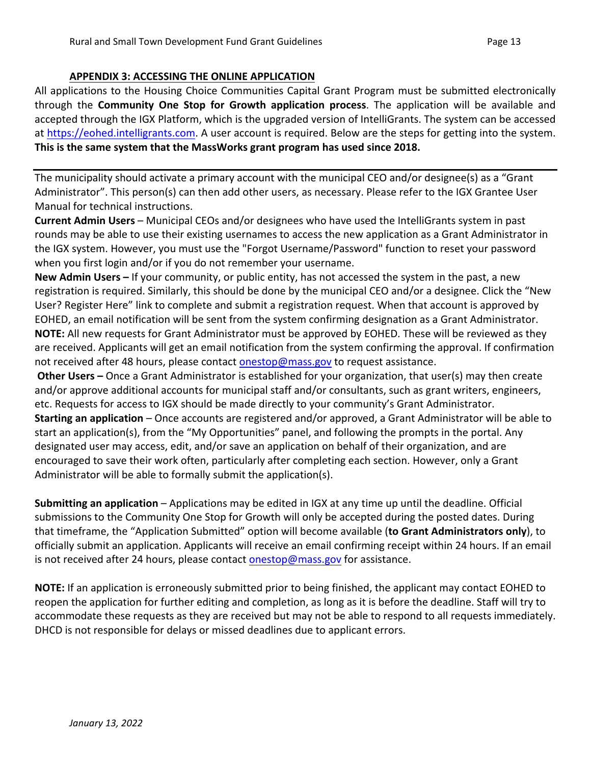#### <span id="page-12-0"></span>**APPENDIX 3: ACCESSING THE ONLINE APPLICATION**

All applications to the Housing Choice Communities Capital Grant Program must be submitted electronically through the **Community One Stop for Growth application process**. The application will be available and accepted through the IGX Platform, which is the upgraded version of IntelliGrants. The system can be accessed at [https://eohed.intelligrants.com.](https://eohed.intelligrants.com/) A user account is required. Below are the steps for getting into the system. **This is the same system that the MassWorks grant program has used since 2018.**

The municipality should activate a primary account with the municipal CEO and/or designee(s) as a "Grant Administrator". This person(s) can then add other users, as necessary. Please refer to the IGX Grantee User Manual for technical instructions.

**Current Admin Users** – Municipal CEOs and/or designees who have used the IntelliGrants system in past rounds may be able to use their existing usernames to access the new application as a Grant Administrator in the IGX system. However, you must use the "Forgot Username/Password" function to reset your password when you first login and/or if you do not remember your username.

**New Admin Users –** If your community, or public entity, has not accessed the system in the past, a new registration is required. Similarly, this should be done by the municipal CEO and/or a designee. Click the "New User? Register Here" link to complete and submit a registration request. When that account is approved by EOHED, an email notification will be sent from the system confirming designation as a Grant Administrator. **NOTE:** All new requests for Grant Administrator must be approved by EOHED. These will be reviewed as they are received. Applicants will get an email notification from the system confirming the approval. If confirmation not received after 48 hours, please contact **onestop@mass.gov** to request assistance.

**Other Users –** Once a Grant Administrator is established for your organization, that user(s) may then create and/or approve additional accounts for municipal staff and/or consultants, such as grant writers, engineers, etc. Requests for access to IGX should be made directly to your community's Grant Administrator. **Starting an application** – Once accounts are registered and/or approved, a Grant Administrator will be able to start an application(s), from the "My Opportunities" panel, and following the prompts in the portal. Any designated user may access, edit, and/or save an application on behalf of their organization, and are encouraged to save their work often, particularly after completing each section. However, only a Grant Administrator will be able to formally submit the application(s).

**Submitting an application** – Applications may be edited in IGX at any time up until the deadline. Official submissions to the Community One Stop for Growth will only be accepted during the posted dates. During that timeframe, the "Application Submitted" option will become available (**to Grant Administrators only**), to officially submit an application. Applicants will receive an email confirming receipt within 24 hours. If an email is not received after 24 hours, please contact [onestop@mass.gov](mailto:onestop@mass.gov) for assistance.

**NOTE:** If an application is erroneously submitted prior to being finished, the applicant may contact EOHED to reopen the application for further editing and completion, as long as it is before the deadline. Staff will try to accommodate these requests as they are received but may not be able to respond to all requests immediately. DHCD is not responsible for delays or missed deadlines due to applicant errors.